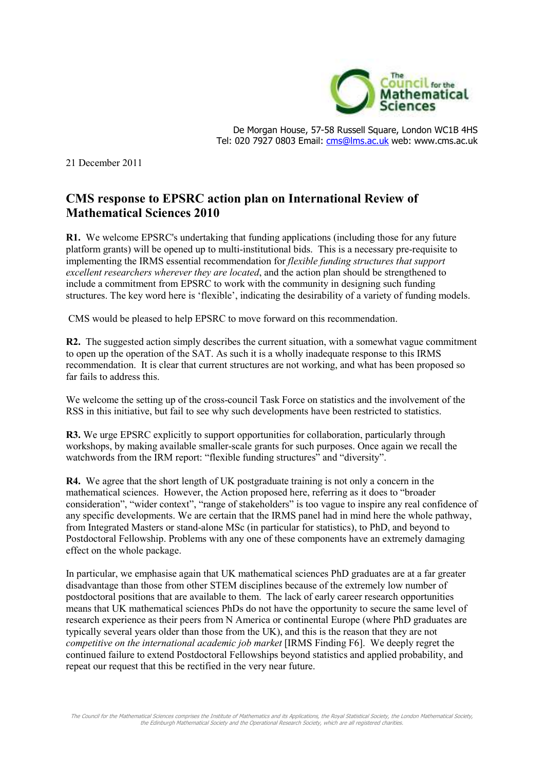

De Morgan House, 57-58 Russell Square, London WC1B 4HS Tel: 020 7927 0803 Email: cms@lms.ac.uk web: www.cms.ac.uk

21 December 2011

## **CMS response to EPSRC action plan on International Review of Mathematical Sciences 2010**

**R1.** We welcome EPSRC's undertaking that funding applications (including those for any future platform grants) will be opened up to multi-institutional bids. This is a necessary pre-requisite to implementing the IRMS essential recommendation for *flexible funding structures that support excellent researchers wherever they are located*, and the action plan should be strengthened to include a commitment from EPSRC to work with the community in designing such funding structures. The key word here is 'flexible', indicating the desirability of a variety of funding models.

CMS would be pleased to help EPSRC to move forward on this recommendation.

**R2.** The suggested action simply describes the current situation, with a somewhat vague commitment to open up the operation of the SAT. As such it is a wholly inadequate response to this IRMS recommendation. It is clear that current structures are not working, and what has been proposed so far fails to address this.

We welcome the setting up of the cross-council Task Force on statistics and the involvement of the RSS in this initiative, but fail to see why such developments have been restricted to statistics.

**R3.** We urge EPSRC explicitly to support opportunities for collaboration, particularly through workshops, by making available smaller-scale grants for such purposes. Once again we recall the watchwords from the IRM report: "flexible funding structures" and "diversity".

**R4.** We agree that the short length of UK postgraduate training is not only a concern in the mathematical sciences. However, the Action proposed here, referring as it does to "broader consideration", "wider context", "range of stakeholders" is too vague to inspire any real confidence of any specific developments. We are certain that the IRMS panel had in mind here the whole pathway, from Integrated Masters or stand-alone MSc (in particular for statistics), to PhD, and beyond to Postdoctoral Fellowship. Problems with any one of these components have an extremely damaging effect on the whole package.

In particular, we emphasise again that UK mathematical sciences PhD graduates are at a far greater disadvantage than those from other STEM disciplines because of the extremely low number of postdoctoral positions that are available to them. The lack of early career research opportunities means that UK mathematical sciences PhDs do not have the opportunity to secure the same level of research experience as their peers from N America or continental Europe (where PhD graduates are typically several years older than those from the UK), and this is the reason that they are not *competitive on the international academic job market* [IRMS Finding F6]. We deeply regret the continued failure to extend Postdoctoral Fellowships beyond statistics and applied probability, and repeat our request that this be rectified in the very near future.